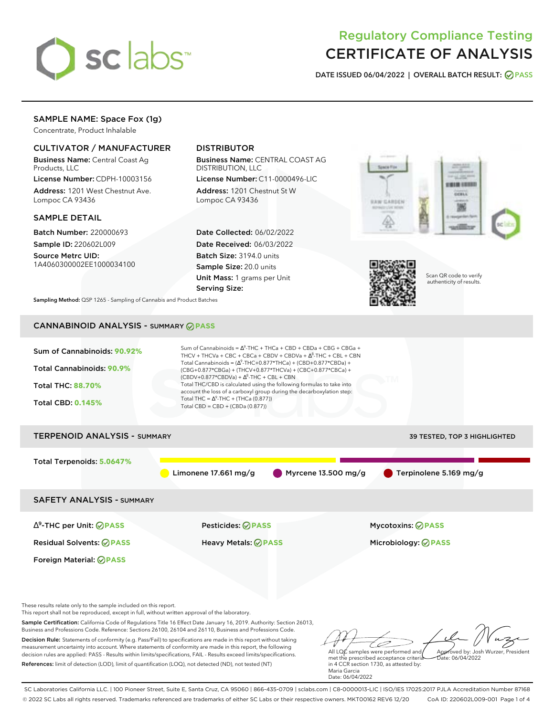

# Regulatory Compliance Testing CERTIFICATE OF ANALYSIS

**DATE ISSUED 06/04/2022 | OVERALL BATCH RESULT: PASS**

## SAMPLE NAME: Space Fox (1g)

Concentrate, Product Inhalable

### CULTIVATOR / MANUFACTURER

Business Name: Central Coast Ag Products, LLC

License Number: CDPH-10003156 Address: 1201 West Chestnut Ave. Lompoc CA 93436

#### SAMPLE DETAIL

Batch Number: 220000693 Sample ID: 220602L009

Source Metrc UID: 1A4060300002EE1000034100

## DISTRIBUTOR

Business Name: CENTRAL COAST AG DISTRIBUTION, LLC

License Number: C11-0000496-LIC Address: 1201 Chestnut St W Lompoc CA 93436

Date Collected: 06/02/2022 Date Received: 06/03/2022 Batch Size: 3194.0 units Sample Size: 20.0 units Unit Mass: 1 grams per Unit Serving Size:





Scan QR code to verify authenticity of results.

**Sampling Method:** QSP 1265 - Sampling of Cannabis and Product Batches

# CANNABINOID ANALYSIS - SUMMARY **PASS**

| Sum of Cannabinoids: 90.92%<br><b>Total Cannabinoids: 90.9%</b><br><b>Total THC: 88.70%</b><br><b>Total CBD: 0.145%</b>                                              | Sum of Cannabinoids = $\Delta^9$ -THC + THCa + CBD + CBDa + CBG + CBGa +<br>THCV + THCVa + CBC + CBCa + CBDV + CBDVa + $\Delta^8$ -THC + CBL + CBN<br>Total Cannabinoids = $(\Delta^9$ -THC+0.877*THCa) + (CBD+0.877*CBDa) +<br>(CBG+0.877*CBGa) + (THCV+0.877*THCVa) + (CBC+0.877*CBCa) +<br>$(CBDV+0.877*CBDVa) + \Delta^8$ -THC + CBL + CBN<br>Total THC/CBD is calculated using the following formulas to take into<br>account the loss of a carboxyl group during the decarboxylation step:<br>Total THC = $\Delta^9$ -THC + (THCa (0.877))<br>Total $CBD = CBD + (CBDa (0.877))$ |                                               |
|----------------------------------------------------------------------------------------------------------------------------------------------------------------------|----------------------------------------------------------------------------------------------------------------------------------------------------------------------------------------------------------------------------------------------------------------------------------------------------------------------------------------------------------------------------------------------------------------------------------------------------------------------------------------------------------------------------------------------------------------------------------------|-----------------------------------------------|
| <b>TERPENOID ANALYSIS - SUMMARY</b>                                                                                                                                  |                                                                                                                                                                                                                                                                                                                                                                                                                                                                                                                                                                                        | 39 TESTED, TOP 3 HIGHLIGHTED                  |
| Total Terpenoids: 5.0647%                                                                                                                                            | Limonene $17.661$ mg/g                                                                                                                                                                                                                                                                                                                                                                                                                                                                                                                                                                 | Myrcene 13.500 mg/g<br>Terpinolene 5.169 mg/g |
| <b>SAFETY ANALYSIS - SUMMARY</b>                                                                                                                                     |                                                                                                                                                                                                                                                                                                                                                                                                                                                                                                                                                                                        |                                               |
| $\Delta^9$ -THC per Unit: $\bigcirc$ PASS                                                                                                                            | <b>Pesticides: ⊘ PASS</b>                                                                                                                                                                                                                                                                                                                                                                                                                                                                                                                                                              | <b>Mycotoxins: ⊘PASS</b>                      |
| <b>Residual Solvents: ⊘PASS</b>                                                                                                                                      | <b>Heavy Metals: ⊘ PASS</b>                                                                                                                                                                                                                                                                                                                                                                                                                                                                                                                                                            | Microbiology: <b>⊘PASS</b>                    |
| Foreign Material: <b>⊘ PASS</b>                                                                                                                                      |                                                                                                                                                                                                                                                                                                                                                                                                                                                                                                                                                                                        |                                               |
| These results relate only to the sample included on this report.<br>This report shall not be reproduced, except in full, without written approval of the laboratory. | Complete Continuation California Carlo of Damiletical Title 17 Files Data James (17, 2010) Andreastic Cartier 21012                                                                                                                                                                                                                                                                                                                                                                                                                                                                    |                                               |

Sample Certification: California Code of Regulations Title 16 Effect Date January 16, 2019. Authority: Section 26013, Business and Professions Code. Reference: Sections 26100, 26104 and 26110, Business and Professions Code. Decision Rule: Statements of conformity (e.g. Pass/Fail) to specifications are made in this report without taking measurement uncertainty into account. Where statements of conformity are made in this report, the following decision rules are applied: PASS - Results within limits/specifications, FAIL - Results exceed limits/specifications.

References: limit of detection (LOD), limit of quantification (LOQ), not detected (ND), not tested (NT)

D All LQC samples were performed and Approved by: Josh Wurzer, President Date: 06/04/2022

met the prescribed acceptance criteria in 4 CCR section 1730, as attested by: Maria Garcia Date: 06/04/2022

SC Laboratories California LLC. | 100 Pioneer Street, Suite E, Santa Cruz, CA 95060 | 866-435-0709 | sclabs.com | C8-0000013-LIC | ISO/IES 17025:2017 PJLA Accreditation Number 87168 © 2022 SC Labs all rights reserved. Trademarks referenced are trademarks of either SC Labs or their respective owners. MKT00162 REV6 12/20 CoA ID: 220602L009-001 Page 1 of 4